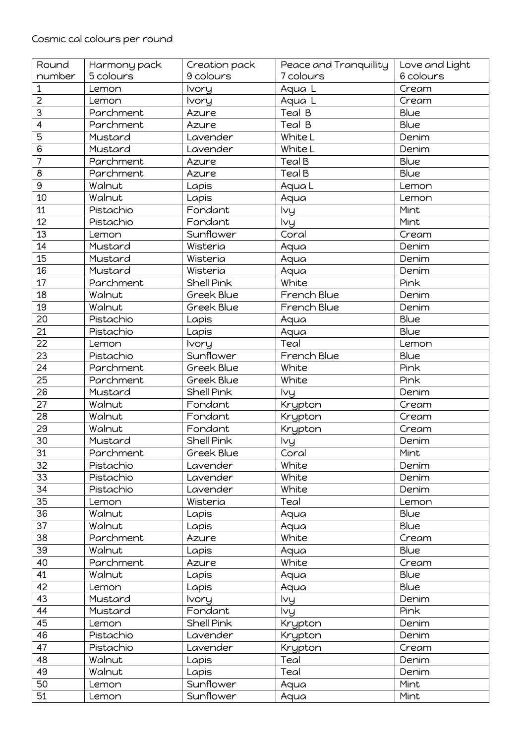| Round           | Harmony pack | Creation pack     | Peace and Tranquillity | Love and Light |
|-----------------|--------------|-------------------|------------------------|----------------|
| number          | 5 colours    | 9 colours         | 7 colours              | 6 colours      |
| 1               | Lemon        | <b>Ivory</b>      | Aqua L                 | Cream          |
| $\overline{2}$  | Lemon        | Ivory             | Aqua L                 | Cream          |
| 3               | Parchment    | Azure             | Teal B                 | Blue           |
| $\overline{4}$  | Parchment    | Azure             | Teal B                 | Blue           |
| 5               | Mustard      | Lavender          | White L                | Denim          |
| 6               | Mustard      | Lavender          | White L                | Denim          |
| $\overline{7}$  | Parchment    | Azure             | <b>Teal B</b>          | Blue           |
| 8               | Parchment    | Azure             | Teal B                 | Blue           |
| 9               | Walnut       | Lapis             | Aqua L                 | Lemon          |
| 10              | Walnut       | Lapis             | Aqua                   | Lemon          |
| 11              | Pistachio    | Fondant           | lvy                    | Mint           |
| 12              | Pistachio    | Fondant           | lvy                    | Mint           |
| 13              | Lemon        | Sunflower         | Coral                  | Cream          |
| 14              | Mustard      | Wisteria          | Aqua                   | Denim          |
| 15              | Mustard      | Wisteria          | Aqua                   | Denim          |
| 16              | Mustard      | Wisteria          | Aqua                   | Denim          |
| 17              | Parchment    | <b>Shell Pink</b> | White                  | Pink           |
| 18              | Walnut       | Greek Blue        | French Blue            | Denim          |
| 19              | Walnut       | Greek Blue        | French Blue            | Denim          |
| 20              | Pistachio    | Lapis             | Aqua                   | Blue           |
| 21              | Pistachio    | Lapis             | Aqua                   | Blue           |
| 22              | Lemon        | <b>Ivory</b>      | Teal                   | Lemon          |
| 23              | Pistachio    | Sunflower         | French Blue            | Blue           |
| 24              | Parchment    | Greek Blue        | White                  | Pink           |
| 25              | Parchment    | Greek Blue        | White                  | Pink           |
| 26              | Mustard      | Shell Pink        | lvy                    | Denim          |
| $\overline{27}$ | Walnut       | Fondant           | Krypton                | Cream          |
| 28              | Walnut       | Fondant           | Krypton                | Cream          |
| 29              | Walnut       | Fondant           | Krypton                | Cream          |
| 30              | Mustard      | Shell Pink        | lvy                    | Denim          |
| 31              | Parchment    | Greek Blue        | Coral                  | Mint           |
| 32              | Pistachio    | Lavender          | White                  | Denim          |
| 33              | Pistachio    | Lavender          | White                  | Denim          |
| 34              | Pistachio    | Lavender          | White                  | Denim          |
| 35              | Lemon        | Wisteria          | Teal                   | Lemon          |
| 36              | Walnut       | Lapis             | Aqua                   | Blue           |
| 37              | Walnut       | Lapis             | Aqua                   | Blue           |
| 38              | Parchment    | Azure             | White                  | Cream          |
| 39              | Walnut       | Lapis             | Aqua                   | Blue           |
| 40              | Parchment    | Azure             | White                  | Cream          |
| 41              | Walnut       | Lapis             | Aqua                   | Blue           |
| 42              | Lemon        | Lapis             | Aqua                   | Blue           |
| 43              | Mustard      | <b>Ivory</b>      | lvy                    | Denim          |
| 44              | Mustard      | Fondant           | lvy                    | Pink           |
| 45              | Lemon        | Shell Pink        | Krypton                | Denim          |
| 46              | Pistachio    | Lavender          | Krypton                | Denim          |
| 47              | Pistachio    | Lavender          | Krypton                | Cream          |
| 48              | Walnut       | Lapis             | Teal                   | Denim          |
| 49              | Walnut       | Lapis             | Teal                   | Denim          |
| 50              | Lemon        | Sunflower         | Aqua                   | Mint           |
| 51              | Lemon        | Sunflower         | Aqua                   | Mint           |
|                 |              |                   |                        |                |